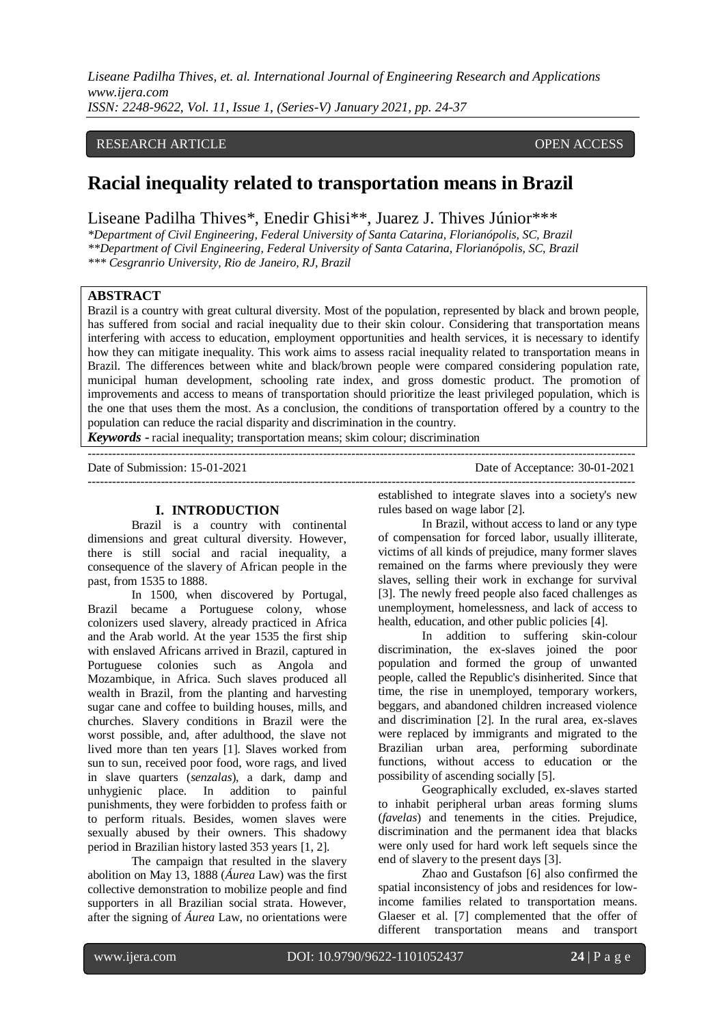## RESEARCH ARTICLE **CONSERVERS** OPEN ACCESS

# **Racial inequality related to transportation means in Brazil**

Liseane Padilha Thives\*, Enedir Ghisi\*\*, Juarez J. Thives Júnior\*\*\*

*\*Department of Civil Engineering, Federal University of Santa Catarina, Florianópolis, SC, Brazil \*\*Department of Civil Engineering, Federal University of Santa Catarina, Florianópolis, SC, Brazil \*\*\* Cesgranrio University, Rio de Janeiro, RJ, Brazil*

#### **ABSTRACT**

Brazil is a country with great cultural diversity. Most of the population, represented by black and brown people, has suffered from social and racial inequality due to their skin colour. Considering that transportation means interfering with access to education, employment opportunities and health services, it is necessary to identify how they can mitigate inequality. This work aims to assess racial inequality related to transportation means in Brazil. The differences between white and black/brown people were compared considering population rate, municipal human development, schooling rate index, and gross domestic product. The promotion of improvements and access to means of transportation should prioritize the least privileged population, which is the one that uses them the most. As a conclusion, the conditions of transportation offered by a country to the population can reduce the racial disparity and discrimination in the country.

 $-++++++++$ 

*Keywords* **-** racial inequality; transportation means; skim colour; discrimination

Date of Submission: 15-01-2021 Date of Acceptance: 30-01-2021

---------------------------------------------------------------------------------------------------------------------------------------

### **I. INTRODUCTION**

Brazil is a country with continental dimensions and great cultural diversity. However, there is still social and racial inequality, a consequence of the slavery of African people in the past, from 1535 to 1888.

In 1500, when discovered by Portugal, Brazil became a Portuguese colony, whose colonizers used slavery, already practiced in Africa and the Arab world. At the year 1535 the first ship with enslaved Africans arrived in Brazil, captured in Portuguese colonies such as Angola and Mozambique, in Africa. Such slaves produced all wealth in Brazil, from the planting and harvesting sugar cane and coffee to building houses, mills, and churches. Slavery conditions in Brazil were the worst possible, and, after adulthood, the slave not lived more than ten years [1]. Slaves worked from sun to sun, received poor food, wore rags, and lived in slave quarters (*senzalas*), a dark, damp and unhygienic place. In addition to painful punishments, they were forbidden to profess faith or to perform rituals. Besides, women slaves were sexually abused by their owners. This shadowy period in Brazilian history lasted 353 years [1, 2].

The campaign that resulted in the slavery abolition on May 13, 1888 (*Áurea* Law) was the first collective demonstration to mobilize people and find supporters in all Brazilian social strata. However, after the signing of *Áurea* Law, no orientations were

established to integrate slaves into a society's new rules based on wage labor [2].

In Brazil, without access to land or any type of compensation for forced labor, usually illiterate, victims of all kinds of prejudice, many former slaves remained on the farms where previously they were slaves, selling their work in exchange for survival [3]. The newly freed people also faced challenges as unemployment, homelessness, and lack of access to health, education, and other public policies [4].

In addition to suffering skin-colour discrimination, the ex-slaves joined the poor population and formed the group of unwanted people, called the Republic's disinherited. Since that time, the rise in unemployed, temporary workers, beggars, and abandoned children increased violence and discrimination [2]. In the rural area, ex-slaves were replaced by immigrants and migrated to the Brazilian urban area, performing subordinate functions, without access to education or the possibility of ascending socially [5].

Geographically excluded, ex-slaves started to inhabit peripheral urban areas forming slums (*favelas*) and tenements in the cities. Prejudice, discrimination and the permanent idea that blacks were only used for hard work left sequels since the end of slavery to the present days [3].

Zhao and Gustafson [6] also confirmed the spatial inconsistency of jobs and residences for lowincome families related to transportation means. Glaeser et al. [7] complemented that the offer of different transportation means and transport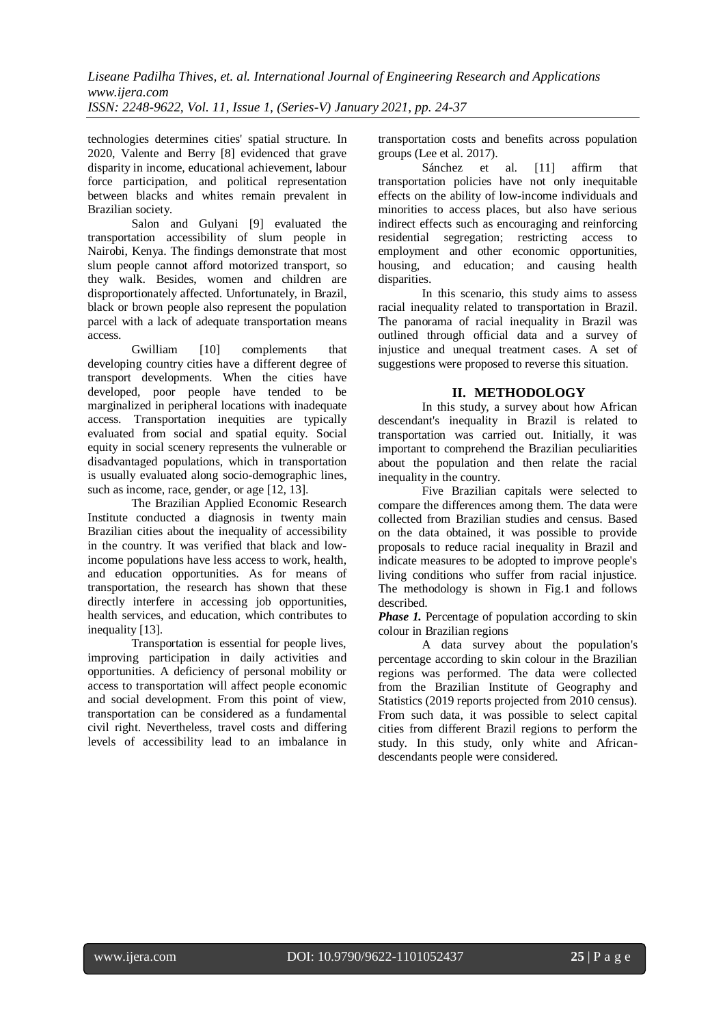technologies determines cities' spatial structure. In 2020, Valente and Berry [8] evidenced that grave disparity in income, educational achievement, labour force participation, and political representation between blacks and whites remain prevalent in Brazilian society.

Salon and Gulyani [9] evaluated the transportation accessibility of slum people in Nairobi, Kenya. The findings demonstrate that most slum people cannot afford motorized transport, so they walk. Besides, women and children are disproportionately affected. Unfortunately, in Brazil, black or brown people also represent the population parcel with a lack of adequate transportation means access.

Gwilliam [10] complements that developing country cities have a different degree of transport developments. When the cities have developed, poor people have tended to be marginalized in peripheral locations with inadequate access. Transportation inequities are typically evaluated from social and spatial equity. Social equity in social scenery represents the vulnerable or disadvantaged populations, which in transportation is usually evaluated along socio-demographic lines, such as income, race, gender, or age [12, 13].

The Brazilian Applied Economic Research Institute conducted a diagnosis in twenty main Brazilian cities about the inequality of accessibility in the country. It was verified that black and lowincome populations have less access to work, health, and education opportunities. As for means of transportation, the research has shown that these directly interfere in accessing job opportunities, health services, and education, which contributes to inequality [13].

Transportation is essential for people lives, improving participation in daily activities and opportunities. A deficiency of personal mobility or access to transportation will affect people economic and social development. From this point of view, transportation can be considered as a fundamental civil right. Nevertheless, travel costs and differing levels of accessibility lead to an imbalance in

transportation costs and benefits across population groups (Lee et al. 2017).

Sánchez et al. [11] affirm that transportation policies have not only inequitable effects on the ability of low-income individuals and minorities to access places, but also have serious indirect effects such as encouraging and reinforcing residential segregation; restricting access to employment and other economic opportunities, housing, and education; and causing health disparities.

In this scenario, this study aims to assess racial inequality related to transportation in Brazil. The panorama of racial inequality in Brazil was outlined through official data and a survey of injustice and unequal treatment cases. A set of suggestions were proposed to reverse this situation.

## **II. METHODOLOGY**

In this study, a survey about how African descendant's inequality in Brazil is related to transportation was carried out. Initially, it was important to comprehend the Brazilian peculiarities about the population and then relate the racial inequality in the country.

Five Brazilian capitals were selected to compare the differences among them. The data were collected from Brazilian studies and census. Based on the data obtained, it was possible to provide proposals to reduce racial inequality in Brazil and indicate measures to be adopted to improve people's living conditions who suffer from racial injustice. The methodology is shown in Fig.1 and follows described.

*Phase 1.* Percentage of population according to skin colour in Brazilian regions

A data survey about the population's percentage according to skin colour in the Brazilian regions was performed. The data were collected from the Brazilian Institute of Geography and Statistics (2019 reports projected from 2010 census). From such data, it was possible to select capital cities from different Brazil regions to perform the study. In this study, only white and Africandescendants people were considered.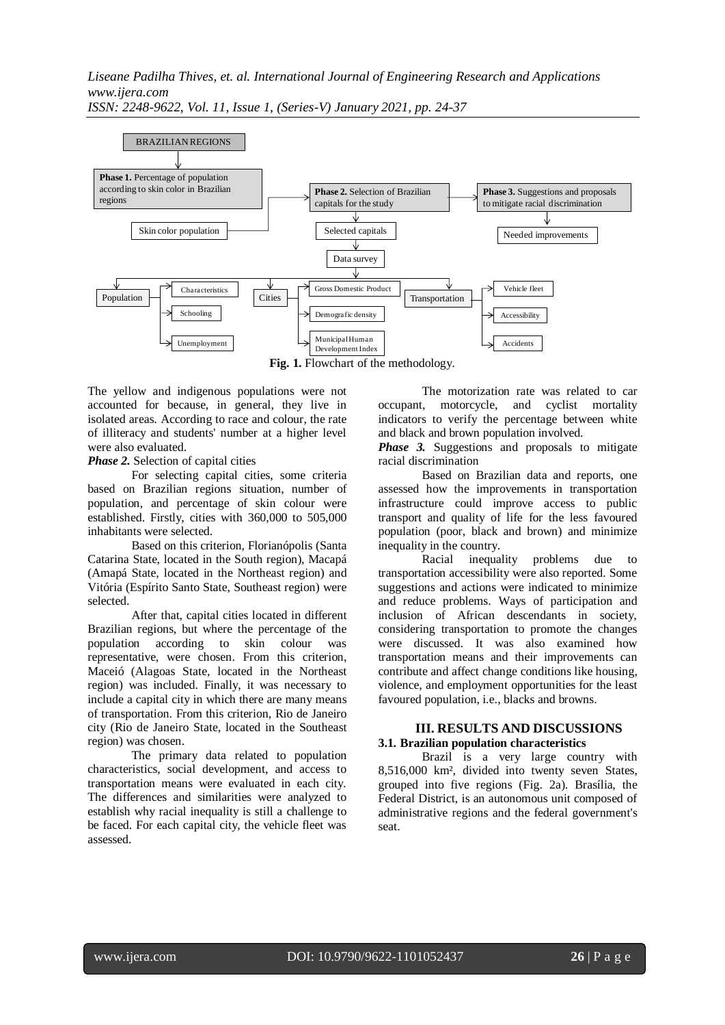

**Fig. 1.** Flowchart of the methodology.

The yellow and indigenous populations were not accounted for because, in general, they live in isolated areas. According to race and colour, the rate of illiteracy and students' number at a higher level were also evaluated.

*Phase 2.* Selection of capital cities

For selecting capital cities, some criteria based on Brazilian regions situation, number of population, and percentage of skin colour were established. Firstly, cities with 360,000 to 505,000 inhabitants were selected.

Based on this criterion, Florianópolis (Santa Catarina State, located in the South region), Macapá (Amapá State, located in the Northeast region) and Vitória (Espírito Santo State, Southeast region) were selected.

After that, capital cities located in different Brazilian regions, but where the percentage of the population according to skin colour was representative, were chosen. From this criterion, Maceió (Alagoas State, located in the Northeast region) was included. Finally, it was necessary to include a capital city in which there are many means of transportation. From this criterion, Rio de Janeiro city (Rio de Janeiro State, located in the Southeast region) was chosen.

The primary data related to population characteristics, social development, and access to transportation means were evaluated in each city. The differences and similarities were analyzed to establish why racial inequality is still a challenge to be faced. For each capital city, the vehicle fleet was assessed.

The motorization rate was related to car occupant, motorcycle, and cyclist mortality indicators to verify the percentage between white and black and brown population involved.

*Phase 3.* Suggestions and proposals to mitigate racial discrimination

Based on Brazilian data and reports, one assessed how the improvements in transportation infrastructure could improve access to public transport and quality of life for the less favoured population (poor, black and brown) and minimize inequality in the country.

Racial inequality problems due to transportation accessibility were also reported. Some suggestions and actions were indicated to minimize and reduce problems. Ways of participation and inclusion of African descendants in society, considering transportation to promote the changes were discussed. It was also examined how transportation means and their improvements can contribute and affect change conditions like housing, violence, and employment opportunities for the least favoured population, i.e., blacks and browns.

### **III. RESULTS AND DISCUSSIONS 3.1. Brazilian population characteristics**

Brazil is a very large country with 8,516,000 km², divided into twenty seven States, grouped into five regions (Fig. 2a). Brasília, the Federal District, is an autonomous unit composed of administrative regions and the federal government's seat.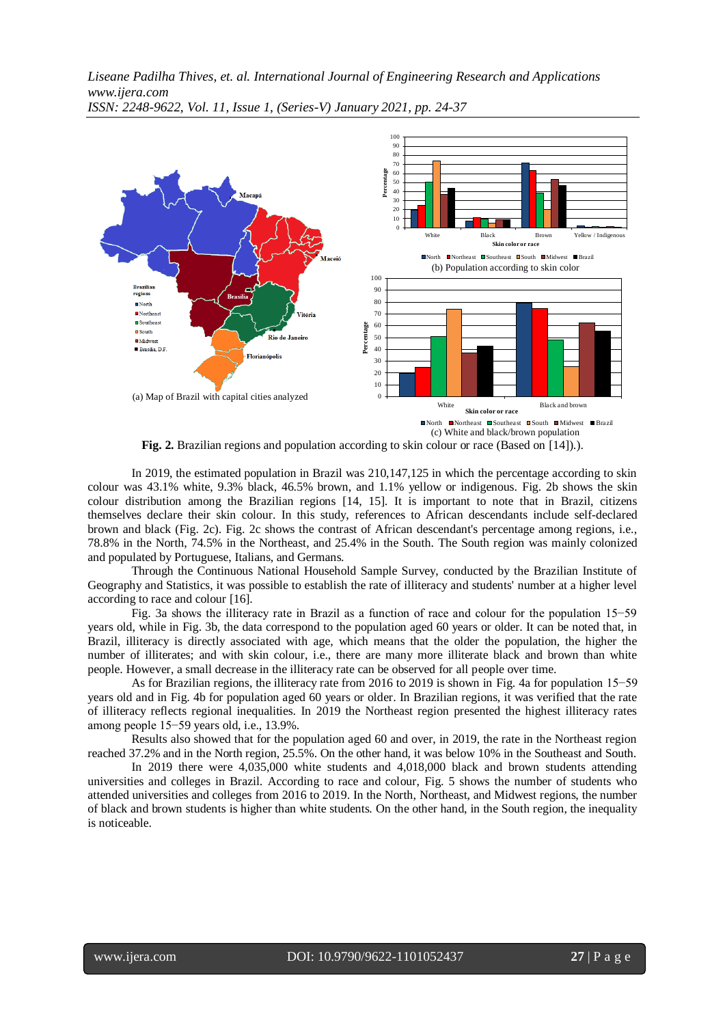

Fig. 2. Brazilian regions and population according to skin colour or race (Based on [14]).).

In 2019, the estimated population in Brazil was 210,147,125 in which the percentage according to skin colour was 43.1% white, 9.3% black, 46.5% brown, and 1.1% yellow or indigenous. Fig. 2b shows the skin colour distribution among the Brazilian regions [14, 15]. It is important to note that in Brazil, citizens themselves declare their skin colour. In this study, references to African descendants include self-declared brown and black (Fig. 2c). Fig. 2c shows the contrast of African descendant's percentage among regions, i.e., 78.8% in the North, 74.5% in the Northeast, and 25.4% in the South. The South region was mainly colonized and populated by Portuguese, Italians, and Germans.

Through the Continuous National Household Sample Survey, conducted by the Brazilian Institute of Geography and Statistics, it was possible to establish the rate of illiteracy and students' number at a higher level according to race and colour [16].

Fig. 3a shows the illiteracy rate in Brazil as a function of race and colour for the population 15−59 years old, while in Fig. 3b, the data correspond to the population aged 60 years or older. It can be noted that, in Brazil, illiteracy is directly associated with age, which means that the older the population, the higher the number of illiterates; and with skin colour, i.e., there are many more illiterate black and brown than white people. However, a small decrease in the illiteracy rate can be observed for all people over time.

As for Brazilian regions, the illiteracy rate from 2016 to 2019 is shown in Fig. 4a for population 15−59 years old and in Fig. 4b for population aged 60 years or older. In Brazilian regions, it was verified that the rate of illiteracy reflects regional inequalities. In 2019 the Northeast region presented the highest illiteracy rates among people 15−59 years old, i.e., 13.9%.

Results also showed that for the population aged 60 and over, in 2019, the rate in the Northeast region reached 37.2% and in the North region, 25.5%. On the other hand, it was below 10% in the Southeast and South.

In 2019 there were 4,035,000 white students and 4,018,000 black and brown students attending universities and colleges in Brazil. According to race and colour, Fig. 5 shows the number of students who attended universities and colleges from 2016 to 2019. In the North, Northeast, and Midwest regions, the number of black and brown students is higher than white students. On the other hand, in the South region, the inequality is noticeable.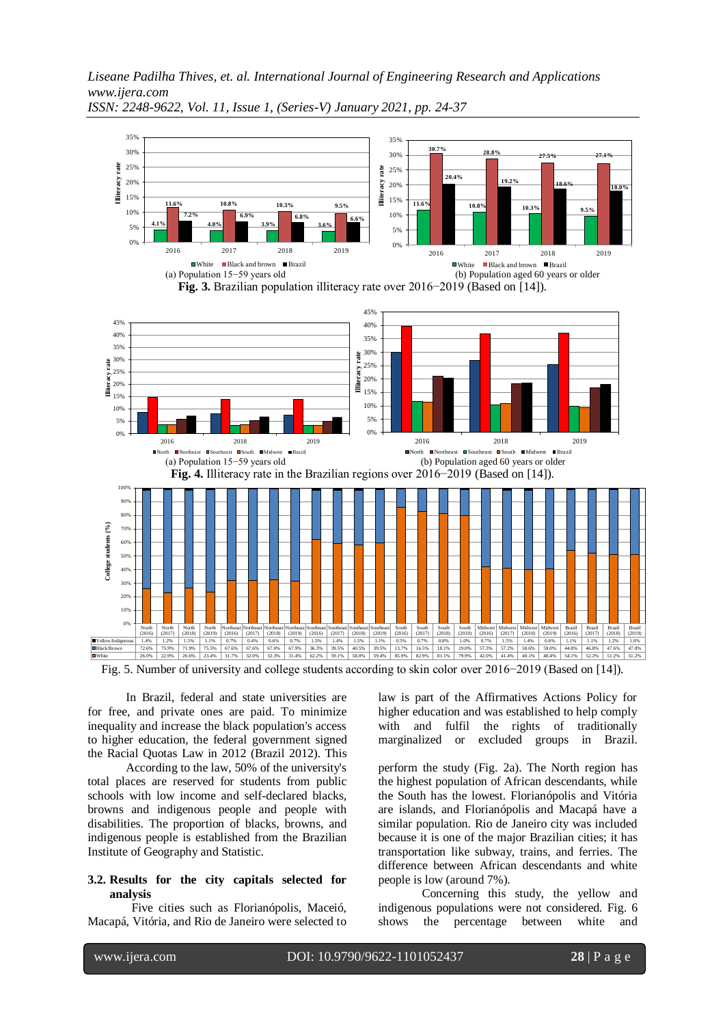

*ISSN: 2248-9622, Vol. 11, Issue 1, (Series-V) January 2021, pp. 24-37*

Fig. 5. Number of university and college students according to skin color over 2016−2019 (Based on [14]).

In Brazil, federal and state universities are for free, and private ones are paid. To minimize inequality and increase the black population's access to higher education, the federal government signed the Racial Quotas Law in 2012 (Brazil 2012). This

According to the law, 50% of the university's total places are reserved for students from public schools with low income and self-declared blacks, browns and indigenous people and people with disabilities. The proportion of blacks, browns, and indigenous people is established from the Brazilian Institute of Geography and Statistic.

#### **3.2. Results for the city capitals selected for analysis**

Five cities such as Florianópolis, Maceió, Macapá, Vitória, and Rio de Janeiro were selected to law is part of the Affirmatives Actions Policy for higher education and was established to help comply with and fulfil the rights of traditionally marginalized or excluded groups in Brazil.

perform the study (Fig. 2a). The North region has the highest population of African descendants, while the South has the lowest. Florianópolis and Vitória are islands, and Florianópolis and Macapá have a similar population. Rio de Janeiro city was included because it is one of the major Brazilian cities; it has transportation like subway, trains, and ferries. The difference between African descendants and white people is low (around 7%).

Concerning this study, the yellow and indigenous populations were not considered. Fig. 6 shows the percentage between white and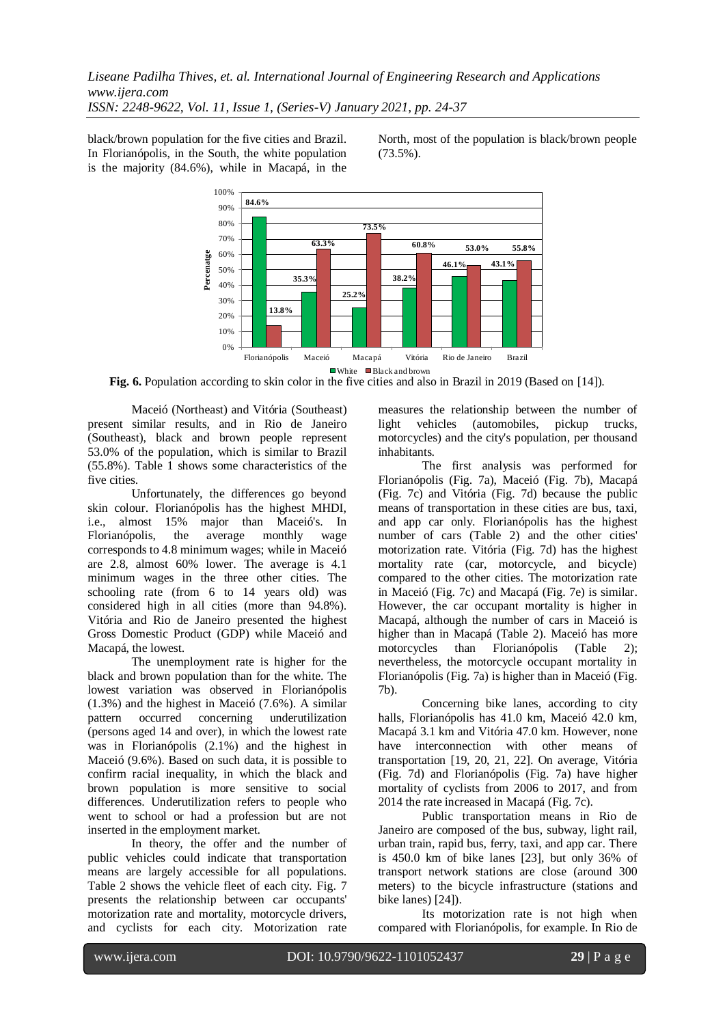black/brown population for the five cities and Brazil. In Florianópolis, in the South, the white population is the majority (84.6%), while in Macapá, in the

North, most of the population is black/brown people (73.5%).



**Fig. 6.** Population according to skin color in the five cities and also in Brazil in 2019 (Based on [14]).

Maceió (Northeast) and Vitória (Southeast) present similar results, and in Rio de Janeiro (Southeast), black and brown people represent 53.0% of the population, which is similar to Brazil (55.8%). Table 1 shows some characteristics of the five cities.

Unfortunately, the differences go beyond skin colour. Florianópolis has the highest MHDI, i.e., almost 15% major than Maceió's. In Florianópolis, the average monthly wage corresponds to 4.8 minimum wages; while in Maceió are 2.8, almost 60% lower. The average is 4.1 minimum wages in the three other cities. The schooling rate (from 6 to 14 years old) was considered high in all cities (more than 94.8%). Vitória and Rio de Janeiro presented the highest Gross Domestic Product (GDP) while Maceió and Macapá, the lowest.

The unemployment rate is higher for the black and brown population than for the white. The lowest variation was observed in Florianópolis (1.3%) and the highest in Maceió (7.6%). A similar pattern occurred concerning underutilization (persons aged 14 and over), in which the lowest rate was in Florianópolis (2.1%) and the highest in Maceió (9.6%). Based on such data, it is possible to confirm racial inequality, in which the black and brown population is more sensitive to social differences. Underutilization refers to people who went to school or had a profession but are not inserted in the employment market.

In theory, the offer and the number of public vehicles could indicate that transportation means are largely accessible for all populations. Table 2 shows the vehicle fleet of each city. Fig. 7 presents the relationship between car occupants' motorization rate and mortality, motorcycle drivers, and cyclists for each city. Motorization rate

measures the relationship between the number of light vehicles (automobiles, pickup trucks, motorcycles) and the city's population, per thousand inhabitants.

The first analysis was performed for Florianópolis (Fig. 7a), Maceió (Fig. 7b), Macapá (Fig. 7c) and Vitória (Fig. 7d) because the public means of transportation in these cities are bus, taxi, and app car only. Florianópolis has the highest number of cars (Table 2) and the other cities' motorization rate. Vitória (Fig. 7d) has the highest mortality rate (car, motorcycle, and bicycle) compared to the other cities. The motorization rate in Maceió (Fig. 7c) and Macapá (Fig. 7e) is similar. However, the car occupant mortality is higher in Macapá, although the number of cars in Maceió is higher than in Macapá (Table 2). Maceió has more motorcycles than Florianópolis (Table 2); nevertheless, the motorcycle occupant mortality in Florianópolis (Fig. 7a) is higher than in Maceió (Fig. 7b).

Concerning bike lanes, according to city halls, Florianópolis has 41.0 km, Maceió 42.0 km, Macapá 3.1 km and Vitória 47.0 km. However, none have interconnection with other means of transportation [19, 20, 21, 22]. On average, Vitória (Fig. 7d) and Florianópolis (Fig. 7a) have higher mortality of cyclists from 2006 to 2017, and from 2014 the rate increased in Macapá (Fig. 7c).

Public transportation means in Rio de Janeiro are composed of the bus, subway, light rail, urban train, rapid bus, ferry, taxi, and app car. There is 450.0 km of bike lanes [23], but only 36% of transport network stations are close (around 300 meters) to the bicycle infrastructure (stations and bike lanes) [24]).

Its motorization rate is not high when compared with Florianópolis, for example. In Rio de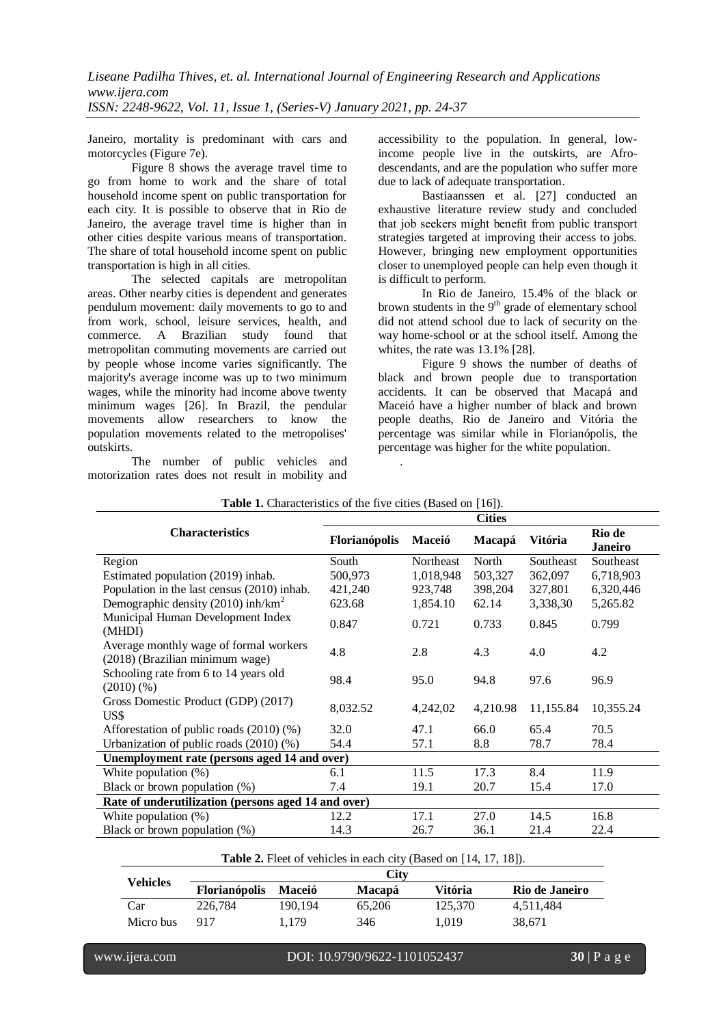Janeiro, mortality is predominant with cars and motorcycles (Figure 7e).

Figure 8 shows the average travel time to go from home to work and the share of total household income spent on public transportation for each city. It is possible to observe that in Rio de Janeiro, the average travel time is higher than in other cities despite various means of transportation. The share of total household income spent on public transportation is high in all cities.

The selected capitals are metropolitan areas. Other nearby cities is dependent and generates pendulum movement: daily movements to go to and from work, school, leisure services, health, and commerce. A Brazilian study found that metropolitan commuting movements are carried out by people whose income varies significantly. The majority's average income was up to two minimum wages, while the minority had income above twenty minimum wages [26]. In Brazil, the pendular movements allow researchers to know the population movements related to the metropolises' outskirts.

The number of public vehicles and motorization rates does not result in mobility and accessibility to the population. In general, lowincome people live in the outskirts, are Afrodescendants, and are the population who suffer more due to lack of adequate transportation.

Bastiaanssen et al. [27] conducted an exhaustive literature review study and concluded that job seekers might benefit from public transport strategies targeted at improving their access to jobs. However, bringing new employment opportunities closer to unemployed people can help even though it is difficult to perform.

In Rio de Janeiro, 15.4% of the black or brown students in the 9<sup>th</sup> grade of elementary school did not attend school due to lack of security on the way home-school or at the school itself. Among the whites, the rate was 13.1% [28].

Figure 9 shows the number of deaths of black and brown people due to transportation accidents. It can be observed that Macapá and Maceió have a higher number of black and brown people deaths, Rio de Janeiro and Vitória the percentage was similar while in Florianópolis, the percentage was higher for the white population.

|                                                                           | <b>Cities</b> |           |          |           |                          |  |  |
|---------------------------------------------------------------------------|---------------|-----------|----------|-----------|--------------------------|--|--|
| <b>Characteristics</b>                                                    | Florianópolis | Maceió    | Macapá   | Vitória   | Rio de<br><b>Janeiro</b> |  |  |
| Region                                                                    | South         | Northeast | North    | Southeast | Southeast                |  |  |
| Estimated population (2019) inhab.                                        | 500,973       | 1,018,948 | 503,327  | 362,097   | 6,718,903                |  |  |
| Population in the last census (2010) inhab.                               | 421,240       | 923,748   | 398,204  | 327,801   | 6,320,446                |  |  |
| Demographic density (2010) inh/km <sup>2</sup>                            | 623.68        | 1,854.10  | 62.14    | 3,338,30  | 5,265.82                 |  |  |
| Municipal Human Development Index<br>(MHDI)                               | 0.847         | 0.721     | 0.733    | 0.845     | 0.799                    |  |  |
| Average monthly wage of formal workers<br>(2018) (Brazilian minimum wage) | 4.8           | 2.8       | 4.3      | 4.0       | 4.2                      |  |  |
| Schooling rate from 6 to 14 years old<br>(2010)(%                         | 98.4          | 95.0      | 94.8     | 97.6      | 96.9                     |  |  |
| Gross Domestic Product (GDP) (2017)<br>US\$                               | 8,032.52      | 4,242,02  | 4,210.98 | 11,155.84 | 10,355.24                |  |  |
| Afforestation of public roads (2010) (%)                                  | 32.0          | 47.1      | 66.0     | 65.4      | 70.5                     |  |  |
| Urbanization of public roads $(2010)$ $(\%)$                              | 54.4          | 57.1      | 8.8      | 78.7      | 78.4                     |  |  |
| Unemployment rate (persons aged 14 and over)                              |               |           |          |           |                          |  |  |
| White population $(\%)$                                                   | 6.1           | 11.5      | 17.3     | 8.4       | 11.9                     |  |  |
| Black or brown population (%)                                             | 7.4           | 19.1      | 20.7     | 15.4      | 17.0                     |  |  |
| Rate of underutilization (persons aged 14 and over)                       |               |           |          |           |                          |  |  |
| White population (%)                                                      | 12.2          | 17.1      | 27.0     | 14.5      | 16.8                     |  |  |
| Black or brown population $(\%)$                                          | 14.3          | 26.7      | 36.1     | 21.4      | 22.4                     |  |  |

| Table 1. Characteristics of the five cities (Based on [16]). |  |  |  |  |  |  |  |
|--------------------------------------------------------------|--|--|--|--|--|--|--|
|--------------------------------------------------------------|--|--|--|--|--|--|--|

.

**Table 2.** Fleet of vehicles in each city (Based on [14, 17, 18]).

| Vehicles  | City                 |               |               |         |                |  |
|-----------|----------------------|---------------|---------------|---------|----------------|--|
|           | <b>Florianópolis</b> | <b>Maceió</b> | <b>Macapá</b> | Vitória | Rio de Janeiro |  |
| Car       | 226,784              | 190.194       | 65.206        | 125,370 | 4,511,484      |  |
| Micro bus | 917                  | 1.179         | 346           | 1.019   | 38.671         |  |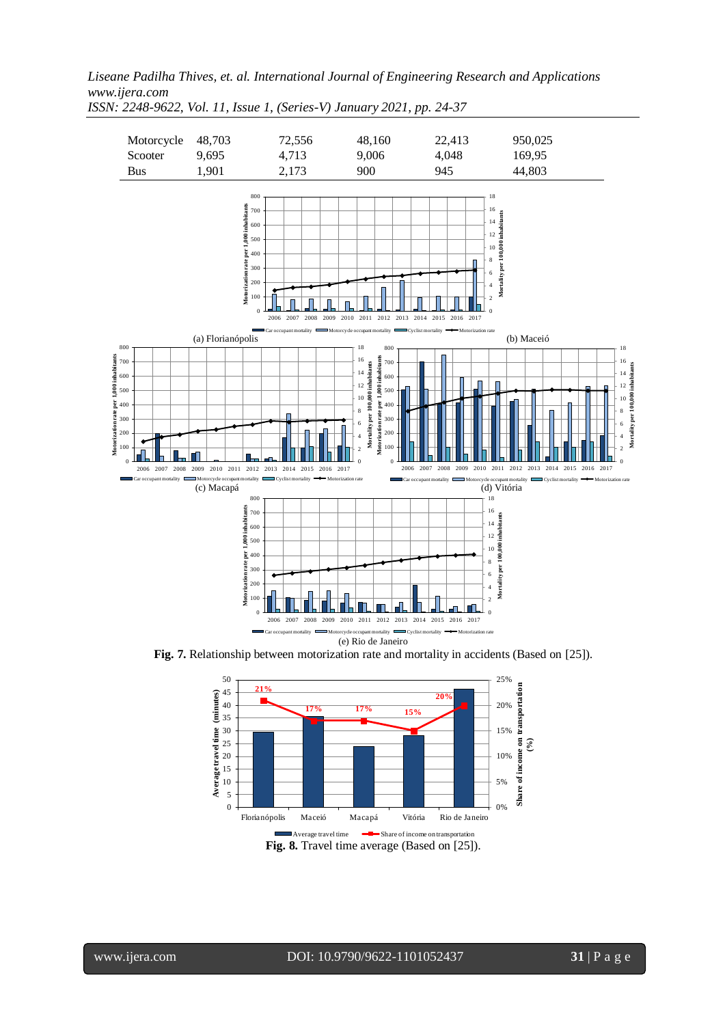

*ISSN: 2248-9622, Vol. 11, Issue 1, (Series-V) January 2021, pp. 24-37*

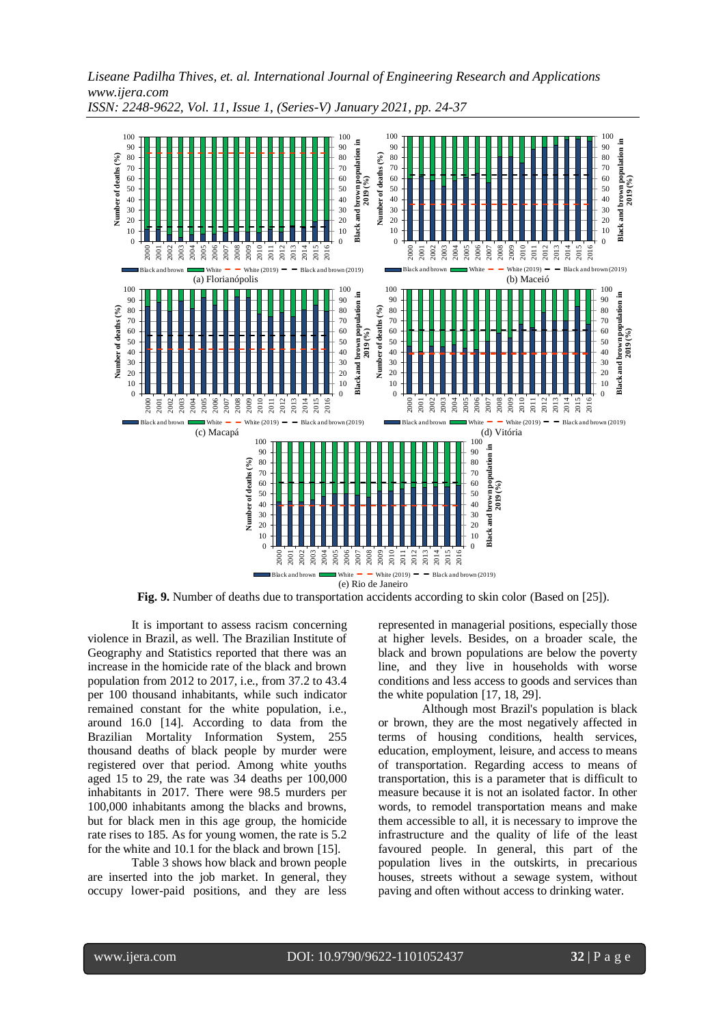

*ISSN: 2248-9622, Vol. 11, Issue 1, (Series-V) January 2021, pp. 24-37*

**Fig. 9.** Number of deaths due to transportation accidents according to skin color (Based on [25]).

It is important to assess racism concerning violence in Brazil, as well. The Brazilian Institute of Geography and Statistics reported that there was an increase in the homicide rate of the black and brown population from 2012 to 2017, i.e., from 37.2 to 43.4 per 100 thousand inhabitants, while such indicator remained constant for the white population, i.e., around 16.0 [14]. According to data from the Brazilian Mortality Information System, 255 thousand deaths of black people by murder were registered over that period. Among white youths aged 15 to 29, the rate was 34 deaths per 100,000 inhabitants in 2017. There were 98.5 murders per 100,000 inhabitants among the blacks and browns, but for black men in this age group, the homicide rate rises to 185. As for young women, the rate is 5.2 for the white and 10.1 for the black and brown [15].

Table 3 shows how black and brown people are inserted into the job market. In general, they occupy lower-paid positions, and they are less

represented in managerial positions, especially those at higher levels. Besides, on a broader scale, the black and brown populations are below the poverty line, and they live in households with worse conditions and less access to goods and services than the white population [17, 18, 29].

Although most Brazil's population is black or brown, they are the most negatively affected in terms of housing conditions, health services, education, employment, leisure, and access to means of transportation. Regarding access to means of transportation, this is a parameter that is difficult to measure because it is not an isolated factor. In other words, to remodel transportation means and make them accessible to all, it is necessary to improve the infrastructure and the quality of life of the least favoured people. In general, this part of the population lives in the outskirts, in precarious houses, streets without a sewage system, without paving and often without access to drinking water.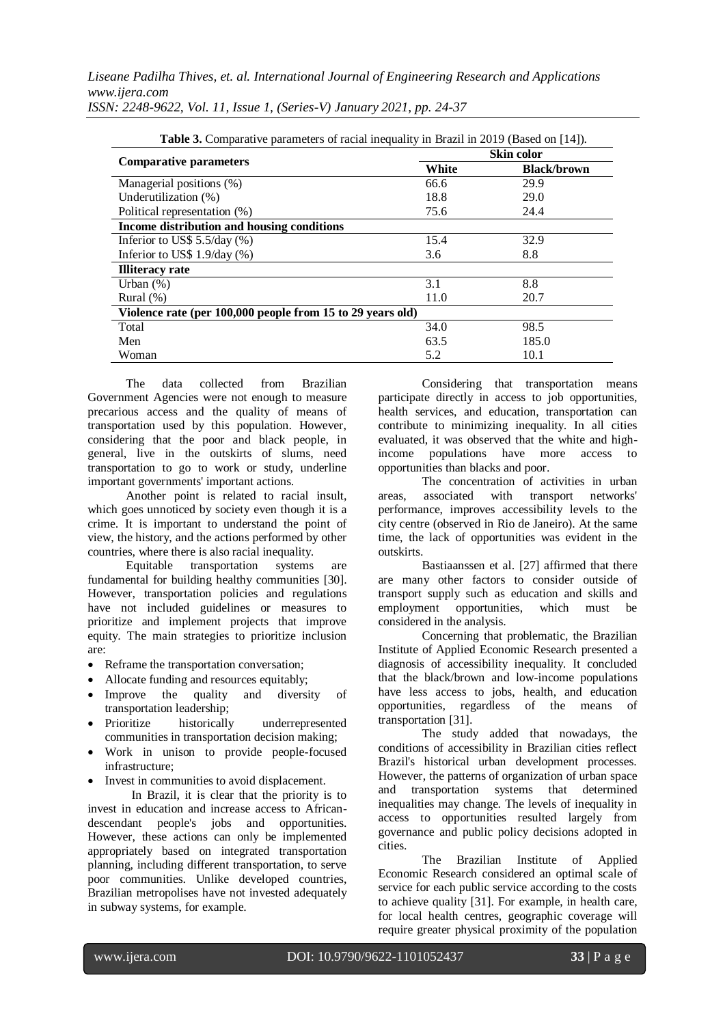| <b>Table 3.</b> Comparative parameters of racial inequality in Brazil in 2019 (Based on [14]). |                   |                    |  |  |  |  |
|------------------------------------------------------------------------------------------------|-------------------|--------------------|--|--|--|--|
|                                                                                                | <b>Skin color</b> |                    |  |  |  |  |
| <b>Comparative parameters</b>                                                                  | White             | <b>Black/brown</b> |  |  |  |  |
| Managerial positions (%)                                                                       | 66.6              | 29.9               |  |  |  |  |
| Underutilization (%)                                                                           | 18.8              | 29.0               |  |  |  |  |
| Political representation (%)                                                                   | 75.6              | 24.4               |  |  |  |  |
| Income distribution and housing conditions                                                     |                   |                    |  |  |  |  |
| Inferior to US\$ $5.5$ /day (%)                                                                | 15.4              | 32.9               |  |  |  |  |
| Inferior to US\$ $1.9$ /day (%)                                                                | 3.6               | 8.8                |  |  |  |  |
| <b>Illiteracy rate</b>                                                                         |                   |                    |  |  |  |  |
| Urban $(\%)$                                                                                   | 3.1               | 8.8                |  |  |  |  |
| Rural $(\%)$                                                                                   | 11.0              | 20.7               |  |  |  |  |
| Violence rate (per 100,000 people from 15 to 29 years old)                                     |                   |                    |  |  |  |  |
| Total                                                                                          | 34.0              | 98.5               |  |  |  |  |
| Men                                                                                            | 63.5              | 185.0              |  |  |  |  |
| Woman                                                                                          | 5.2               | 10.1               |  |  |  |  |

*ISSN: 2248-9622, Vol. 11, Issue 1, (Series-V) January 2021, pp. 24-37*

The data collected from Brazilian Government Agencies were not enough to measure precarious access and the quality of means of transportation used by this population. However, considering that the poor and black people, in general, live in the outskirts of slums, need transportation to go to work or study, underline important governments' important actions.

Another point is related to racial insult, which goes unnoticed by society even though it is a crime. It is important to understand the point of view, the history, and the actions performed by other countries, where there is also racial inequality.

Equitable transportation systems are fundamental for building healthy communities [30]. However, transportation policies and regulations have not included guidelines or measures to prioritize and implement projects that improve equity. The main strategies to prioritize inclusion are:

- Reframe the transportation conversation;
- Allocate funding and resources equitably;
- Improve the quality and diversity of transportation leadership;
- Prioritize historically underrepresented communities in transportation decision making;
- Work in unison to provide people-focused infrastructure;
- Invest in communities to avoid displacement.

In Brazil, it is clear that the priority is to invest in education and increase access to Africandescendant people's jobs and opportunities. However, these actions can only be implemented appropriately based on integrated transportation planning, including different transportation, to serve poor communities. Unlike developed countries, Brazilian metropolises have not invested adequately in subway systems, for example.

Considering that transportation means participate directly in access to job opportunities, health services, and education, transportation can contribute to minimizing inequality. In all cities evaluated, it was observed that the white and highincome populations have more access to opportunities than blacks and poor.

The concentration of activities in urban areas, associated with transport networks' performance, improves accessibility levels to the city centre (observed in Rio de Janeiro). At the same time, the lack of opportunities was evident in the outskirts.

Bastiaanssen et al. [27] affirmed that there are many other factors to consider outside of transport supply such as education and skills and employment opportunities, which must be considered in the analysis.

Concerning that problematic, the Brazilian Institute of Applied Economic Research presented a diagnosis of accessibility inequality. It concluded that the black/brown and low-income populations have less access to jobs, health, and education opportunities, regardless of the means of transportation [31].

The study added that nowadays, the conditions of accessibility in Brazilian cities reflect Brazil's historical urban development processes. However, the patterns of organization of urban space and transportation systems that determined inequalities may change. The levels of inequality in access to opportunities resulted largely from governance and public policy decisions adopted in cities.

The Brazilian Institute of Applied Economic Research considered an optimal scale of service for each public service according to the costs to achieve quality [31]. For example, in health care, for local health centres, geographic coverage will require greater physical proximity of the population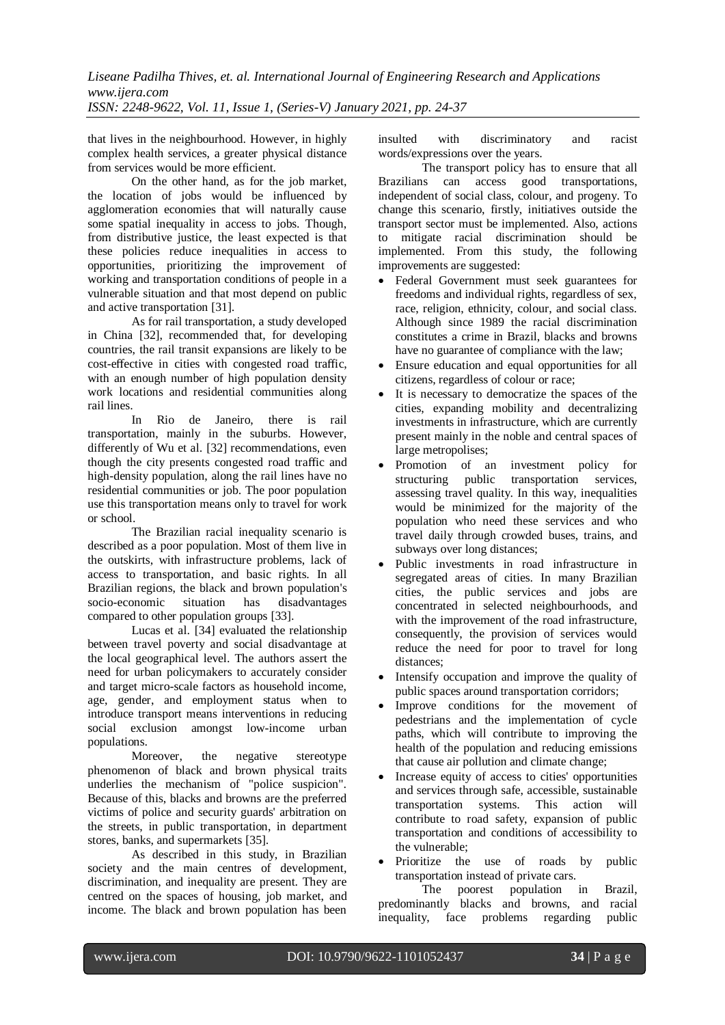that lives in the neighbourhood. However, in highly complex health services, a greater physical distance from services would be more efficient.

On the other hand, as for the job market, the location of jobs would be influenced by agglomeration economies that will naturally cause some spatial inequality in access to jobs. Though, from distributive justice, the least expected is that these policies reduce inequalities in access to opportunities, prioritizing the improvement of working and transportation conditions of people in a vulnerable situation and that most depend on public and active transportation [31].

As for rail transportation, a study developed in China [32], recommended that, for developing countries, the rail transit expansions are likely to be cost-effective in cities with congested road traffic, with an enough number of high population density work locations and residential communities along rail lines.

In Rio de Janeiro, there is rail transportation, mainly in the suburbs. However, differently of Wu et al. [32] recommendations, even though the city presents congested road traffic and high-density population, along the rail lines have no residential communities or job. The poor population use this transportation means only to travel for work or school.

The Brazilian racial inequality scenario is described as a poor population. Most of them live in the outskirts, with infrastructure problems, lack of access to transportation, and basic rights. In all Brazilian regions, the black and brown population's socio-economic situation has disadvantages compared to other population groups [33].

Lucas et al. [34] evaluated the relationship between travel poverty and social disadvantage at the local geographical level. The authors assert the need for urban policymakers to accurately consider and target micro-scale factors as household income, age, gender, and employment status when to introduce transport means interventions in reducing social exclusion amongst low-income urban populations.

Moreover, the negative stereotype phenomenon of black and brown physical traits underlies the mechanism of "police suspicion". Because of this, blacks and browns are the preferred victims of police and security guards' arbitration on the streets, in public transportation, in department stores, banks, and supermarkets [35].

As described in this study, in Brazilian society and the main centres of development, discrimination, and inequality are present. They are centred on the spaces of housing, job market, and income. The black and brown population has been

insulted with discriminatory and racist words/expressions over the years.

The transport policy has to ensure that all Brazilians can access good transportations, independent of social class, colour, and progeny. To change this scenario, firstly, initiatives outside the transport sector must be implemented. Also, actions to mitigate racial discrimination should be implemented. From this study, the following improvements are suggested:

- Federal Government must seek guarantees for freedoms and individual rights, regardless of sex, race, religion, ethnicity, colour, and social class. Although since 1989 the racial discrimination constitutes a crime in Brazil, blacks and browns have no guarantee of compliance with the law;
- Ensure education and equal opportunities for all citizens, regardless of colour or race;
- It is necessary to democratize the spaces of the cities, expanding mobility and decentralizing investments in infrastructure, which are currently present mainly in the noble and central spaces of large metropolises;
- Promotion of an investment policy for structuring public transportation services, assessing travel quality. In this way, inequalities would be minimized for the majority of the population who need these services and who travel daily through crowded buses, trains, and subways over long distances;
- Public investments in road infrastructure in segregated areas of cities. In many Brazilian cities, the public services and jobs are concentrated in selected neighbourhoods, and with the improvement of the road infrastructure, consequently, the provision of services would reduce the need for poor to travel for long distances;
- Intensify occupation and improve the quality of public spaces around transportation corridors;
- Improve conditions for the movement of pedestrians and the implementation of cycle paths, which will contribute to improving the health of the population and reducing emissions that cause air pollution and climate change;
- Increase equity of access to cities' opportunities and services through safe, accessible, sustainable transportation systems. This action will contribute to road safety, expansion of public transportation and conditions of accessibility to the vulnerable;
- Prioritize the use of roads by public transportation instead of private cars.

The poorest population in Brazil, predominantly blacks and browns, and racial inequality, face problems regarding public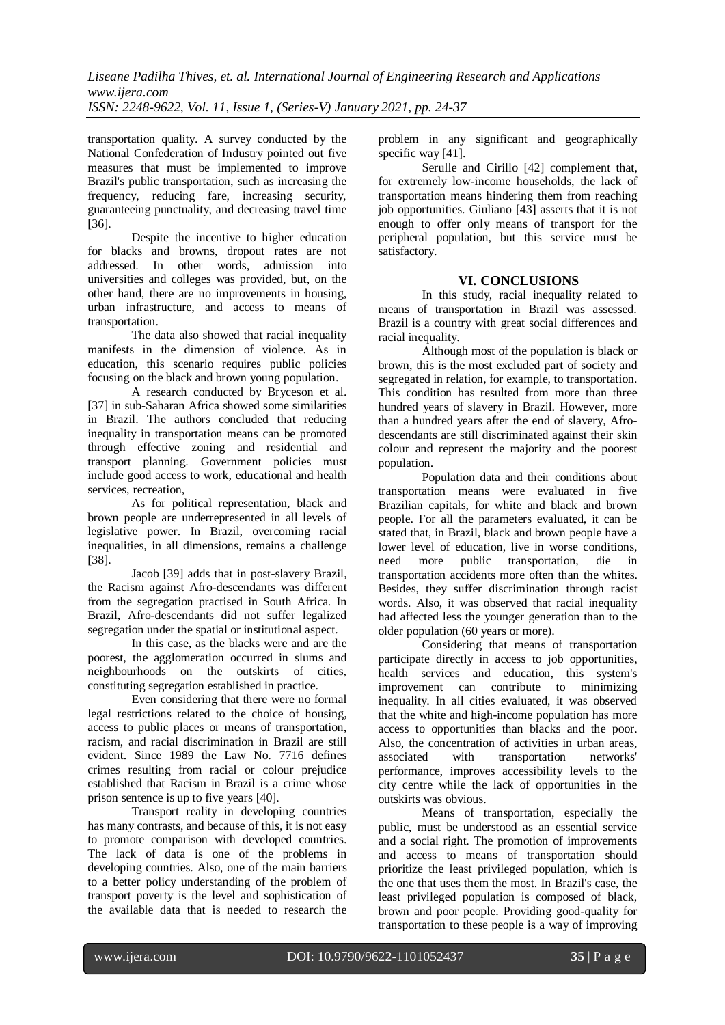transportation quality. A survey conducted by the National Confederation of Industry pointed out five measures that must be implemented to improve Brazil's public transportation, such as increasing the frequency, reducing fare, increasing security, guaranteeing punctuality, and decreasing travel time [36].

Despite the incentive to higher education for blacks and browns, dropout rates are not addressed. In other words, admission into universities and colleges was provided, but, on the other hand, there are no improvements in housing, urban infrastructure, and access to means of transportation.

The data also showed that racial inequality manifests in the dimension of violence. As in education, this scenario requires public policies focusing on the black and brown young population.

A research conducted by Bryceson et al. [37] in sub-Saharan Africa showed some similarities in Brazil. The authors concluded that reducing inequality in transportation means can be promoted through effective zoning and residential and transport planning. Government policies must include good access to work, educational and health services, recreation,

As for political representation, black and brown people are underrepresented in all levels of legislative power. In Brazil, overcoming racial inequalities, in all dimensions, remains a challenge [38].

Jacob [39] adds that in post-slavery Brazil, the Racism against Afro-descendants was different from the segregation practised in South Africa. In Brazil, Afro-descendants did not suffer legalized segregation under the spatial or institutional aspect.

In this case, as the blacks were and are the poorest, the agglomeration occurred in slums and neighbourhoods on the outskirts of cities, constituting segregation established in practice.

Even considering that there were no formal legal restrictions related to the choice of housing, access to public places or means of transportation, racism, and racial discrimination in Brazil are still evident. Since 1989 the Law No. 7716 defines crimes resulting from racial or colour prejudice established that Racism in Brazil is a crime whose prison sentence is up to five years [40].

Transport reality in developing countries has many contrasts, and because of this, it is not easy to promote comparison with developed countries. The lack of data is one of the problems in developing countries. Also, one of the main barriers to a better policy understanding of the problem of transport poverty is the level and sophistication of the available data that is needed to research the

problem in any significant and geographically specific way [41].

Serulle and Cirillo [42] complement that, for extremely low-income households, the lack of transportation means hindering them from reaching job opportunities. Giuliano [43] asserts that it is not enough to offer only means of transport for the peripheral population, but this service must be satisfactory.

## **VI. CONCLUSIONS**

In this study, racial inequality related to means of transportation in Brazil was assessed. Brazil is a country with great social differences and racial inequality.

Although most of the population is black or brown, this is the most excluded part of society and segregated in relation, for example, to transportation. This condition has resulted from more than three hundred years of slavery in Brazil. However, more than a hundred years after the end of slavery, Afrodescendants are still discriminated against their skin colour and represent the majority and the poorest population.

Population data and their conditions about transportation means were evaluated in five Brazilian capitals, for white and black and brown people. For all the parameters evaluated, it can be stated that, in Brazil, black and brown people have a lower level of education, live in worse conditions, need more public transportation, die in transportation accidents more often than the whites. Besides, they suffer discrimination through racist words. Also, it was observed that racial inequality had affected less the younger generation than to the older population (60 years or more).

Considering that means of transportation participate directly in access to job opportunities, health services and education, this system's improvement can contribute to minimizing inequality. In all cities evaluated, it was observed that the white and high-income population has more access to opportunities than blacks and the poor. Also, the concentration of activities in urban areas,<br>associated with transportation networks' associated with transportation performance, improves accessibility levels to the city centre while the lack of opportunities in the outskirts was obvious.

Means of transportation, especially the public, must be understood as an essential service and a social right. The promotion of improvements and access to means of transportation should prioritize the least privileged population, which is the one that uses them the most. In Brazil's case, the least privileged population is composed of black, brown and poor people. Providing good-quality for transportation to these people is a way of improving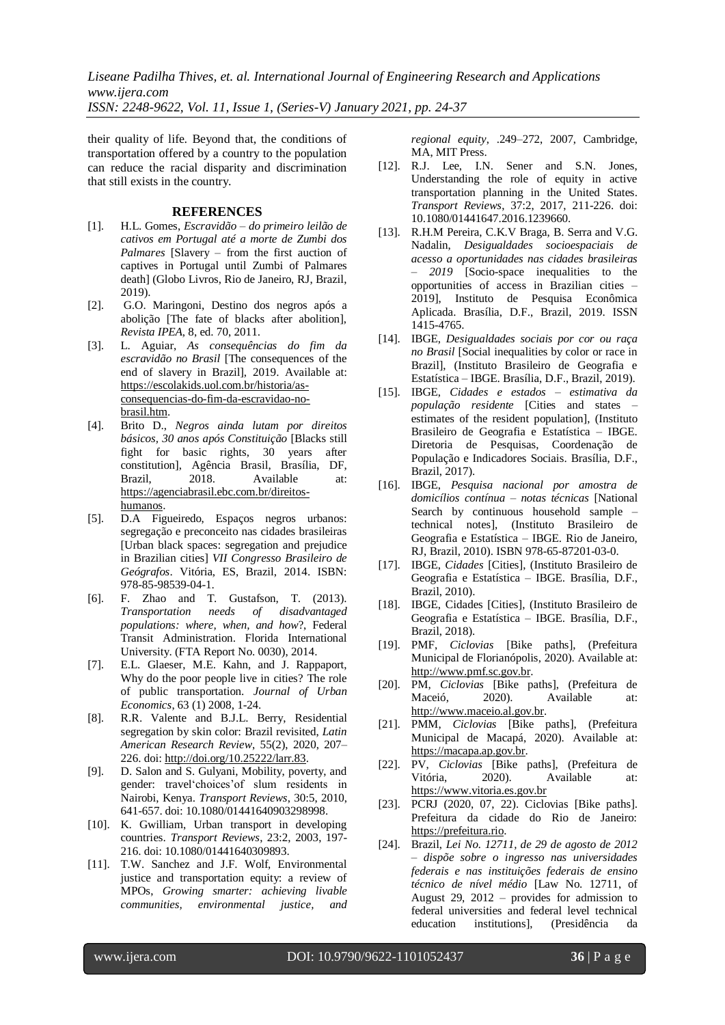*ISSN: 2248-9622, Vol. 11, Issue 1, (Series-V) January 2021, pp. 24-37*

their quality of life. Beyond that, the conditions of transportation offered by a country to the population can reduce the racial disparity and discrimination that still exists in the country.

## **REFERENCES**

- [1]. H.L. Gomes, *Escravidão – do primeiro leilão de cativos em Portugal até a morte de Zumbi dos Palmares* [Slavery – from the first auction of captives in Portugal until Zumbi of Palmares death] (Globo Livros, Rio de Janeiro, RJ, Brazil, 2019).
- [2]. G.O. Maringoni, Destino dos negros após a abolição [The fate of blacks after abolition], *Revista IPEA*, 8, ed. 70, 2011.
- [3]. L. Aguiar, *As consequências do fim da escravidão no Brasil* [The consequences of the end of slavery in Brazil], 2019. Available at: [https://escolakids.uol.com.br/historia/as](https://escolakids.uol.com.br/historia/as-consequencias-do-fim-da-escravidao-no-brasil.htm)[consequencias-do-fim-da-escravidao-no](https://escolakids.uol.com.br/historia/as-consequencias-do-fim-da-escravidao-no-brasil.htm)[brasil.htm.](https://escolakids.uol.com.br/historia/as-consequencias-do-fim-da-escravidao-no-brasil.htm)
- [4]. Brito D., *Negros ainda lutam por direitos básicos, 30 anos após Constituição* [Blacks still fight for basic rights, 30 years after constitution], Agência Brasil, Brasília, DF, Brazil. 2018. Available at: [https://agenciabrasil.ebc.com.br/direitos](https://agenciabrasil.ebc.com.br/direitos-humanos)[humanos.](https://agenciabrasil.ebc.com.br/direitos-humanos)
- [5]. D.A Figueiredo, Espaços negros urbanos: segregação e preconceito nas cidades brasileiras [Urban black spaces: segregation and prejudice in Brazilian cities] *VII Congresso Brasileiro de Geógrafos*. Vitória, ES, Brazil, 2014. ISBN: 978-85-98539-04-1.
- [6]. F. Zhao and T. Gustafson, T. (2013). *Transportation needs of disadvantaged populations: where, when, and how*?, Federal Transit Administration. Florida International University. (FTA Report No. 0030), 2014.
- [7]. E.L. Glaeser, M.E. Kahn, and J. Rappaport, Why do the poor people live in cities? The role of public transportation. *Journal of Urban Economics*, 63 (1) 2008, 1-24.
- [8]. R.R. Valente and B.J.L. Berry, Residential segregation by skin color: Brazil revisited, *Latin American Research Review*, 55(2), 2020, 207– 226. doi[: http://doi.org/10.25222/larr.83.](http://doi.org/10.25222/larr.83)
- [9]. D. Salon and S. Gulyani, Mobility, poverty, and gender: travel'choices'of slum residents in Nairobi, Kenya. *Transport Reviews*, 30:5, 2010, 641-657. doi: 10.1080/01441640903298998.
- [10]. K. Gwilliam, Urban transport in developing countries. *Transport Reviews*, 23:2, 2003, 197- 216. doi: 10.1080/01441640309893.
- [11]. T.W. Sanchez and J.F. Wolf. Environmental justice and transportation equity: a review of MPOs, *Growing smarter: achieving livable communities, environmental justice, and*

*regional equity*, .249–272, 2007, Cambridge, MA, MIT Press.

- [12]. R.J. Lee, I.N. Sener and S.N. Jones, Understanding the role of equity in active transportation planning in the United States. *Transport Reviews*, 37:2, 2017, 211-226. doi: 10.1080/01441647.2016.1239660.
- [13]. R.H.M Pereira, C.K.V Braga, B. Serra and V.G. Nadalin, *Desigualdades socioespaciais de acesso a oportunidades nas cidades brasileiras – 2019* [Socio-space inequalities to the opportunities of access in Brazilian cities – 2019], Instituto de Pesquisa Econômica Aplicada. Brasília, D.F., Brazil, 2019. ISSN 1415-4765.
- [14]. IBGE, *Desigualdades sociais por cor ou raça no Brasil* [Social inequalities by color or race in Brazil], (Instituto Brasileiro de Geografia e Estatística – IBGE. Brasília, D.F., Brazil, 2019).
- [15]. IBGE, *Cidades e estados – estimativa da população residente* [Cities and states – estimates of the resident population], (Instituto Brasileiro de Geografia e Estatística – IBGE. Diretoria de Pesquisas, Coordenação de População e Indicadores Sociais. Brasília, D.F., Brazil, 2017).
- [16]. IBGE, *Pesquisa nacional por amostra de domicílios contínua – notas técnicas* [National Search by continuous household sample – technical notes], (Instituto Brasileiro de Geografia e Estatística – IBGE. Rio de Janeiro, RJ, Brazil, 2010). ISBN 978-65-87201-03-0.
- [17]. IBGE, *Cidades* [Cities], (Instituto Brasileiro de Geografia e Estatística – IBGE. Brasília, D.F., Brazil, 2010).
- [18]. IBGE, Cidades [Cities], (Instituto Brasileiro de Geografia e Estatística – IBGE. Brasília, D.F., Brazil, 2018).
- [19]. PMF, *Ciclovias* [Bike paths], (Prefeitura Municipal de Florianópolis, 2020). Available at: [http://www.pmf.sc.gov.br.](http://www.pmf.sc.gov.br/)
- [20]. PM, *Ciclovias* [Bike paths], (Prefeitura de Maceió, 2020). Available at: [http://www.maceio.al.gov.br.](http://www.maceio.al.gov.br/)
- [21]. PMM, *Ciclovias* [Bike paths], (Prefeitura Municipal de Macapá, 2020). Available at: [https://macapa.ap.gov.br.](https://macapa.ap.gov.br/)
- [22]. PV, *Ciclovias* [Bike paths], (Prefeitura de Vitória, 2020). Available at: [https://www.vitoria.es.gov.br](https://www.vitoria.es.gov.br/)
- [23]. PCRJ (2020, 07, 22). Ciclovias [Bike paths]. Prefeitura da cidade do Rio de Janeiro: [https://prefeitura.rio.](https://prefeitura.rio/)
- [24]. Brazil, *Lei No. 12711, de 29 de agosto de 2012 – dispõe sobre o ingresso nas universidades federais e nas instituições federais de ensino técnico de nível médio* [Law No. 12711, of August 29, 2012 – provides for admission to federal universities and federal level technical education institutions], (Presidência da